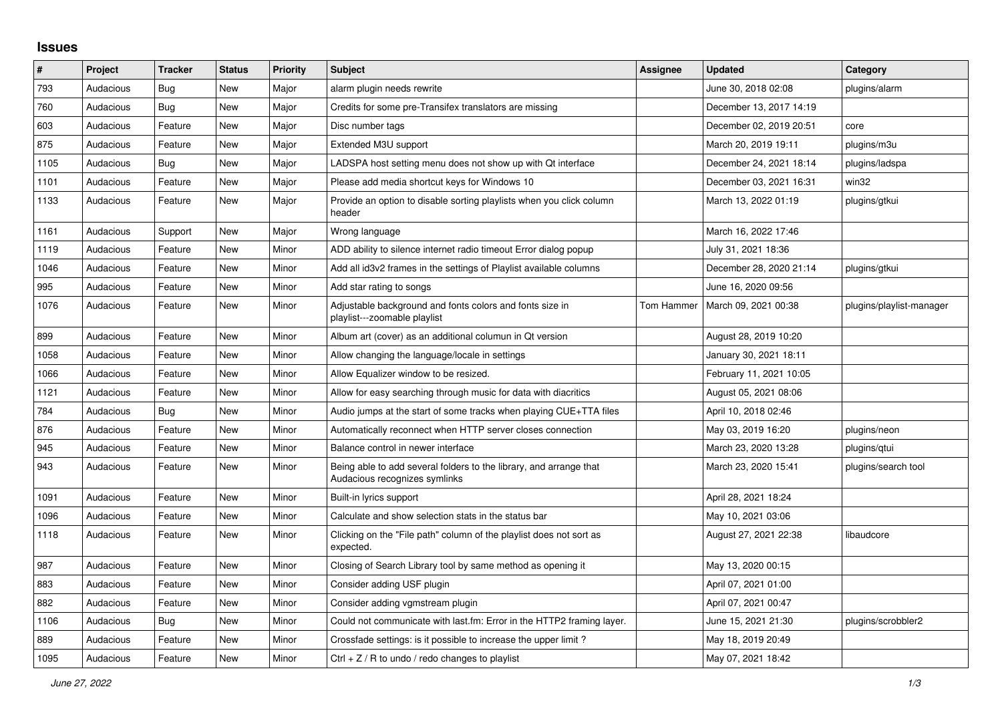## **Issues**

| #    | Project   | <b>Tracker</b> | <b>Status</b> | <b>Priority</b> | <b>Subject</b>                                                                                      | <b>Assignee</b> | <b>Updated</b>          | Category                 |
|------|-----------|----------------|---------------|-----------------|-----------------------------------------------------------------------------------------------------|-----------------|-------------------------|--------------------------|
| 793  | Audacious | Bug            | <b>New</b>    | Major           | alarm plugin needs rewrite                                                                          |                 | June 30, 2018 02:08     | plugins/alarm            |
| 760  | Audacious | Bug            | <b>New</b>    | Major           | Credits for some pre-Transifex translators are missing                                              |                 | December 13, 2017 14:19 |                          |
| 603  | Audacious | Feature        | <b>New</b>    | Major           | Disc number tags                                                                                    |                 | December 02, 2019 20:51 | core                     |
| 875  | Audacious | Feature        | <b>New</b>    | Major           | Extended M3U support                                                                                |                 | March 20, 2019 19:11    | plugins/m3u              |
| 1105 | Audacious | Bug            | New           | Major           | LADSPA host setting menu does not show up with Qt interface                                         |                 | December 24, 2021 18:14 | plugins/ladspa           |
| 1101 | Audacious | Feature        | <b>New</b>    | Major           | Please add media shortcut keys for Windows 10                                                       |                 | December 03, 2021 16:31 | win32                    |
| 1133 | Audacious | Feature        | New           | Major           | Provide an option to disable sorting playlists when you click column<br>header                      |                 | March 13, 2022 01:19    | plugins/gtkui            |
| 1161 | Audacious | Support        | <b>New</b>    | Major           | Wrong language                                                                                      |                 | March 16, 2022 17:46    |                          |
| 1119 | Audacious | Feature        | <b>New</b>    | Minor           | ADD ability to silence internet radio timeout Error dialog popup                                    |                 | July 31, 2021 18:36     |                          |
| 1046 | Audacious | Feature        | <b>New</b>    | Minor           | Add all id3v2 frames in the settings of Playlist available columns                                  |                 | December 28, 2020 21:14 | plugins/gtkui            |
| 995  | Audacious | Feature        | <b>New</b>    | Minor           | Add star rating to songs                                                                            |                 | June 16, 2020 09:56     |                          |
| 1076 | Audacious | Feature        | <b>New</b>    | Minor           | Adjustable background and fonts colors and fonts size in<br>playlist---zoomable playlist            | Tom Hammer      | March 09, 2021 00:38    | plugins/playlist-manager |
| 899  | Audacious | Feature        | New           | Minor           | Album art (cover) as an additional columun in Qt version                                            |                 | August 28, 2019 10:20   |                          |
| 1058 | Audacious | Feature        | <b>New</b>    | Minor           | Allow changing the language/locale in settings                                                      |                 | January 30, 2021 18:11  |                          |
| 1066 | Audacious | Feature        | <b>New</b>    | Minor           | Allow Equalizer window to be resized.                                                               |                 | February 11, 2021 10:05 |                          |
| 1121 | Audacious | Feature        | <b>New</b>    | Minor           | Allow for easy searching through music for data with diacritics                                     |                 | August 05, 2021 08:06   |                          |
| 784  | Audacious | Bug            | <b>New</b>    | Minor           | Audio jumps at the start of some tracks when playing CUE+TTA files                                  |                 | April 10, 2018 02:46    |                          |
| 876  | Audacious | Feature        | <b>New</b>    | Minor           | Automatically reconnect when HTTP server closes connection                                          |                 | May 03, 2019 16:20      | plugins/neon             |
| 945  | Audacious | Feature        | New           | Minor           | Balance control in newer interface                                                                  |                 | March 23, 2020 13:28    | plugins/qtui             |
| 943  | Audacious | Feature        | <b>New</b>    | Minor           | Being able to add several folders to the library, and arrange that<br>Audacious recognizes symlinks |                 | March 23, 2020 15:41    | plugins/search tool      |
| 1091 | Audacious | Feature        | <b>New</b>    | Minor           | Built-in lyrics support                                                                             |                 | April 28, 2021 18:24    |                          |
| 1096 | Audacious | Feature        | <b>New</b>    | Minor           | Calculate and show selection stats in the status bar                                                |                 | May 10, 2021 03:06      |                          |
| 1118 | Audacious | Feature        | <b>New</b>    | Minor           | Clicking on the "File path" column of the playlist does not sort as<br>expected.                    |                 | August 27, 2021 22:38   | libaudcore               |
| 987  | Audacious | Feature        | <b>New</b>    | Minor           | Closing of Search Library tool by same method as opening it                                         |                 | May 13, 2020 00:15      |                          |
| 883  | Audacious | Feature        | New           | Minor           | Consider adding USF plugin                                                                          |                 | April 07, 2021 01:00    |                          |
| 882  | Audacious | Feature        | <b>New</b>    | Minor           | Consider adding vgmstream plugin                                                                    |                 | April 07, 2021 00:47    |                          |
| 1106 | Audacious | Bug            | <b>New</b>    | Minor           | Could not communicate with last.fm: Error in the HTTP2 framing layer.                               |                 | June 15, 2021 21:30     | plugins/scrobbler2       |
| 889  | Audacious | Feature        | <b>New</b>    | Minor           | Crossfade settings: is it possible to increase the upper limit?                                     |                 | May 18, 2019 20:49      |                          |
| 1095 | Audacious | Feature        | <b>New</b>    | Minor           | Ctrl $+ Z / R$ to undo / redo changes to playlist                                                   |                 | May 07, 2021 18:42      |                          |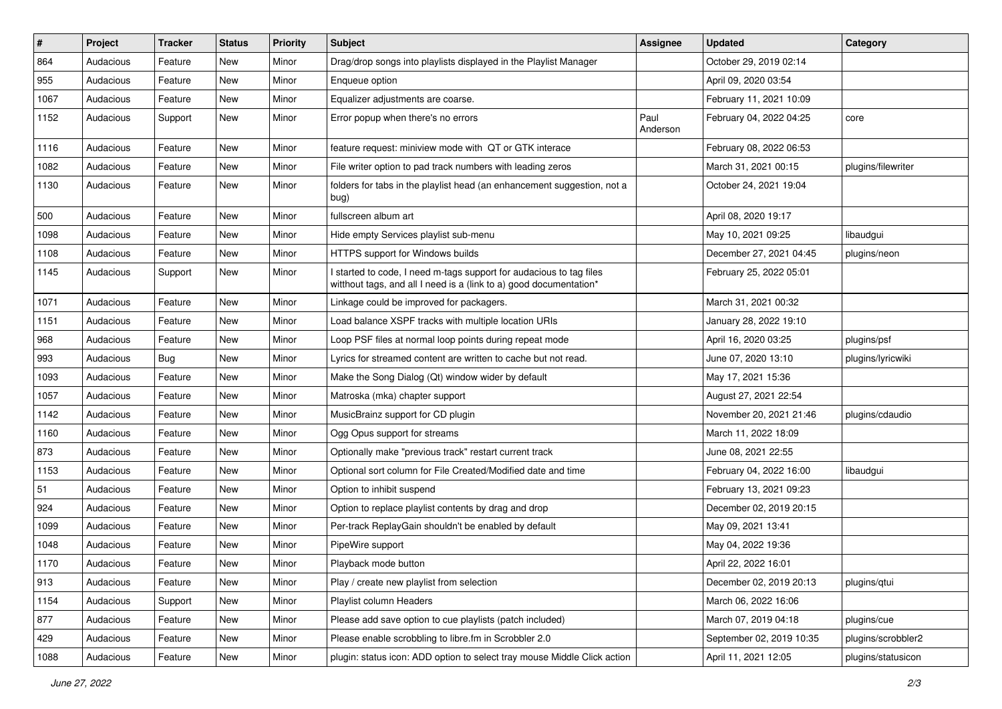| #    | Project   | <b>Tracker</b> | <b>Status</b> | <b>Priority</b> | Subject                                                                                                                                   | <b>Assignee</b>  | <b>Updated</b>           | Category           |
|------|-----------|----------------|---------------|-----------------|-------------------------------------------------------------------------------------------------------------------------------------------|------------------|--------------------------|--------------------|
| 864  | Audacious | Feature        | New           | Minor           | Drag/drop songs into playlists displayed in the Playlist Manager                                                                          |                  | October 29, 2019 02:14   |                    |
| 955  | Audacious | Feature        | New           | Minor           | Enqueue option                                                                                                                            |                  | April 09, 2020 03:54     |                    |
| 1067 | Audacious | Feature        | New           | Minor           | Equalizer adjustments are coarse.                                                                                                         |                  | February 11, 2021 10:09  |                    |
| 1152 | Audacious | Support        | New           | Minor           | Error popup when there's no errors                                                                                                        | Paul<br>Anderson | February 04, 2022 04:25  | core               |
| 1116 | Audacious | Feature        | New           | Minor           | feature request: miniview mode with QT or GTK interace                                                                                    |                  | February 08, 2022 06:53  |                    |
| 1082 | Audacious | Feature        | New           | Minor           | File writer option to pad track numbers with leading zeros                                                                                |                  | March 31, 2021 00:15     | plugins/filewriter |
| 1130 | Audacious | Feature        | New           | Minor           | folders for tabs in the playlist head (an enhancement suggestion, not a<br>bug)                                                           |                  | October 24, 2021 19:04   |                    |
| 500  | Audacious | Feature        | New           | Minor           | fullscreen album art                                                                                                                      |                  | April 08, 2020 19:17     |                    |
| 1098 | Audacious | Feature        | New           | Minor           | Hide empty Services playlist sub-menu                                                                                                     |                  | May 10, 2021 09:25       | libaudgui          |
| 1108 | Audacious | Feature        | New           | Minor           | HTTPS support for Windows builds                                                                                                          |                  | December 27, 2021 04:45  | plugins/neon       |
| 1145 | Audacious | Support        | New           | Minor           | I started to code, I need m-tags support for audacious to tag files<br>witthout tags, and all I need is a (link to a) good documentation* |                  | February 25, 2022 05:01  |                    |
| 1071 | Audacious | Feature        | New           | Minor           | Linkage could be improved for packagers.                                                                                                  |                  | March 31, 2021 00:32     |                    |
| 1151 | Audacious | Feature        | New           | Minor           | Load balance XSPF tracks with multiple location URIs                                                                                      |                  | January 28, 2022 19:10   |                    |
| 968  | Audacious | Feature        | New           | Minor           | Loop PSF files at normal loop points during repeat mode                                                                                   |                  | April 16, 2020 03:25     | plugins/psf        |
| 993  | Audacious | <b>Bug</b>     | New           | Minor           | Lyrics for streamed content are written to cache but not read.                                                                            |                  | June 07, 2020 13:10      | plugins/lyricwiki  |
| 1093 | Audacious | Feature        | New           | Minor           | Make the Song Dialog (Qt) window wider by default                                                                                         |                  | May 17, 2021 15:36       |                    |
| 1057 | Audacious | Feature        | New           | Minor           | Matroska (mka) chapter support                                                                                                            |                  | August 27, 2021 22:54    |                    |
| 1142 | Audacious | Feature        | New           | Minor           | MusicBrainz support for CD plugin                                                                                                         |                  | November 20, 2021 21:46  | plugins/cdaudio    |
| 1160 | Audacious | Feature        | New           | Minor           | Ogg Opus support for streams                                                                                                              |                  | March 11, 2022 18:09     |                    |
| 873  | Audacious | Feature        | New           | Minor           | Optionally make "previous track" restart current track                                                                                    |                  | June 08, 2021 22:55      |                    |
| 1153 | Audacious | Feature        | New           | Minor           | Optional sort column for File Created/Modified date and time                                                                              |                  | February 04, 2022 16:00  | libaudgui          |
| 51   | Audacious | Feature        | New           | Minor           | Option to inhibit suspend                                                                                                                 |                  | February 13, 2021 09:23  |                    |
| 924  | Audacious | Feature        | New           | Minor           | Option to replace playlist contents by drag and drop                                                                                      |                  | December 02, 2019 20:15  |                    |
| 1099 | Audacious | Feature        | New           | Minor           | Per-track ReplayGain shouldn't be enabled by default                                                                                      |                  | May 09, 2021 13:41       |                    |
| 1048 | Audacious | Feature        | New           | Minor           | PipeWire support                                                                                                                          |                  | May 04, 2022 19:36       |                    |
| 1170 | Audacious | Feature        | New           | Minor           | Playback mode button                                                                                                                      |                  | April 22, 2022 16:01     |                    |
| 913  | Audacious | Feature        | New           | Minor           | Play / create new playlist from selection                                                                                                 |                  | December 02, 2019 20:13  | plugins/qtui       |
| 1154 | Audacious | Support        | New           | Minor           | Playlist column Headers                                                                                                                   |                  | March 06, 2022 16:06     |                    |
| 877  | Audacious | Feature        | New           | Minor           | Please add save option to cue playlists (patch included)                                                                                  |                  | March 07, 2019 04:18     | plugins/cue        |
| 429  | Audacious | Feature        | New           | Minor           | Please enable scrobbling to libre.fm in Scrobbler 2.0                                                                                     |                  | September 02, 2019 10:35 | plugins/scrobbler2 |
| 1088 | Audacious | Feature        | New           | Minor           | plugin: status icon: ADD option to select tray mouse Middle Click action                                                                  |                  | April 11, 2021 12:05     | plugins/statusicon |